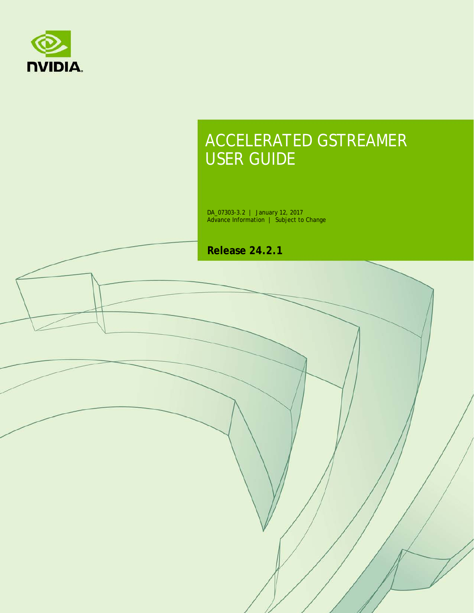

# ACCELERATED GSTREAMER USER GUIDE

DA\_07303-3.2 | January 12, 2017 Advance Information | Subject to Change

**Release 24.2.1**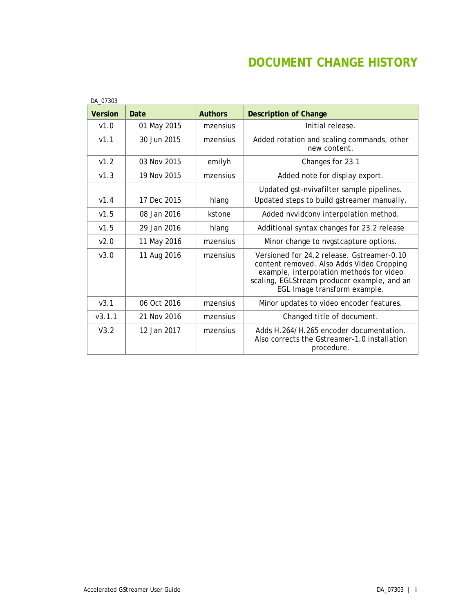## **DOCUMENT CHANGE HISTORY**

| <b>Version</b>   | Date        | <b>Authors</b> | <b>Description of Change</b>                                                                                                                                                                                       |
|------------------|-------------|----------------|--------------------------------------------------------------------------------------------------------------------------------------------------------------------------------------------------------------------|
| v1.0             | 01 May 2015 | mzensius       | Initial release.                                                                                                                                                                                                   |
| V1.1             | 30 Jun 2015 | mzensius       | Added rotation and scaling commands, other<br>new content.                                                                                                                                                         |
| V1.2             | 03 Nov 2015 | emilyh         | Changes for 23.1                                                                                                                                                                                                   |
| V1.3             | 19 Nov 2015 | mzensius       | Added note for display export.                                                                                                                                                                                     |
| V1.4             | 17 Dec 2015 | hlang          | Updated gst-nvivafilter sample pipelines.<br>Updated steps to build gstreamer manually.                                                                                                                            |
| v1.5             | 08 Jan 2016 | kstone         | Added nvvidconv interpolation method.                                                                                                                                                                              |
| V1.5             | 29 Jan 2016 | hlang          | Additional syntax changes for 23.2 release                                                                                                                                                                         |
| V <sub>2.0</sub> | 11 May 2016 | mzensius       | Minor change to nvgstcapture options.                                                                                                                                                                              |
| V3.0             | 11 Aug 2016 | mzensius       | Versioned for 24.2 release, Gstreamer-0.10<br>content removed. Also Adds Video Cropping<br>example, interpolation methods for video<br>scaling, EGLStream producer example, and an<br>EGL Image transform example. |
| v3.1             | 06 Oct 2016 | mzensius       | Minor updates to video encoder features.                                                                                                                                                                           |
| V3.1.1           | 21 Nov 2016 | mzensius       | Changed title of document.                                                                                                                                                                                         |
| V3.2             | 12 Jan 2017 | mzensius       | Adds H.264/H.265 encoder documentation.<br>Also corrects the Gstreamer-1.0 installation<br>procedure.                                                                                                              |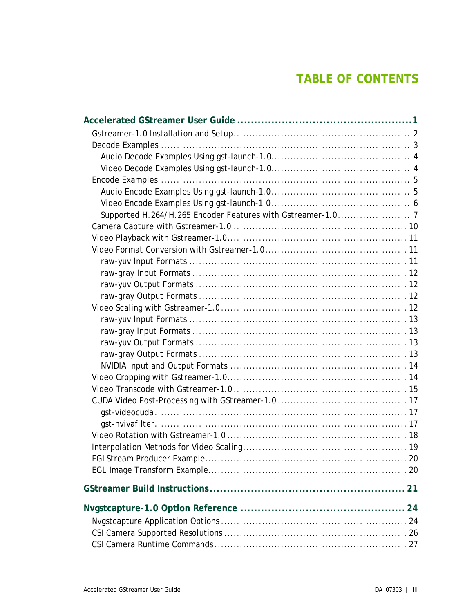## **TABLE OF CONTENTS**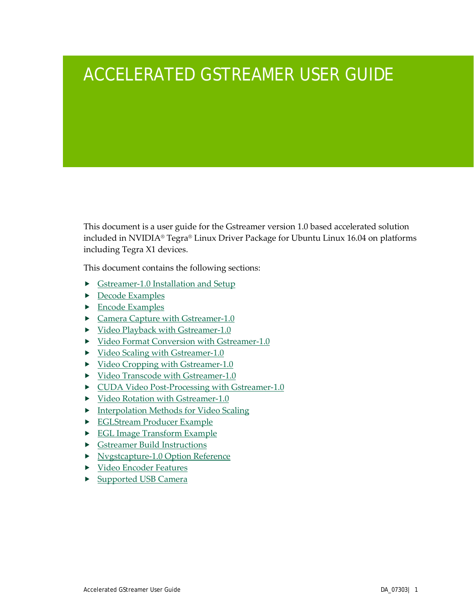# <span id="page-4-0"></span>ACCELERATED GSTREAMER USER GUIDE

This document is a user guide for the Gstreamer version 1.0 based accelerated solution included in NVIDIA® Tegra® Linux Driver Package for Ubuntu Linux 16.04 on platforms including Tegra X1 devices.

This document contains the following sections:

- [Gstreamer-1.0 Installation and Setup](#page-5-0)
- **[Decode Examples](#page-6-1)**
- $\blacktriangleright$  [Encode Examples](#page-8-0)
- ▶ [Camera Capture with Gstreamer-1.0](#page-10-1)
- Video Playback with Gstreamer-1.0
- [Video Format Conversion with Gstreamer-1.0](#page-14-1)
- [Video Scaling with Gstreamer-1.0](#page-15-3)
- [Video Cropping with Gstreamer-1.0](#page-17-1)
- [Video Transcode with Gstreamer-1.0](#page-17-2)
- $\triangleright$  [CUDA Video Post-Processing with Gstreamer-1.0](#page-20-0)
- [Video Rotation with Gstreamer-1.0](#page-20-3)
- **Figure 1** [Interpolation Methods for Video Scaling](#page-22-0)
- [EGLStream Producer Example](#page-23-0)
- ▶ [EGL Image Transform Example](#page-23-1)
- [Gstreamer Build Instructions](#page-24-0)
- [Nvgstcapture-1.0 Option Reference](#page-27-0)
- ▶ [Video Encoder Features](#page-35-0)
- ▶ Supported USB Camera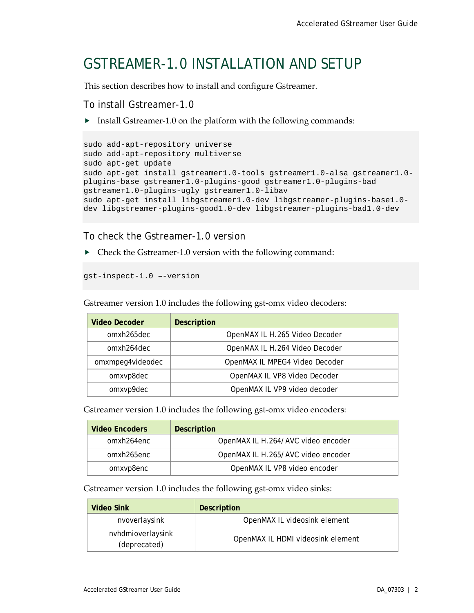## <span id="page-5-0"></span>GSTREAMER-1.0 INSTALLATION AND SETUP

This section describes how to install and configure Gstreamer.

To install Gstreamer-1.0

Install Gstreamer-1.0 on the platform with the following commands:

```
sudo add-apt-repository universe
sudo add-apt-repository multiverse
sudo apt-get update
sudo apt-get install gstreamer1.0-tools gstreamer1.0-alsa gstreamer1.0-
plugins-base gstreamer1.0-plugins-good gstreamer1.0-plugins-bad 
gstreamer1.0-plugins-ugly gstreamer1.0-libav
sudo apt-get install libgstreamer1.0-dev libgstreamer-plugins-base1.0-
dev libgstreamer-plugins-good1.0-dev libgstreamer-plugins-bad1.0-dev
```
To check the Gstreamer-1.0 version

Check the Gstreamer-1.0 version with the following command:

gst-inspect-1.0 –-version

Gstreamer version 1.0 includes the following gst-omx video decoders:

| Video Decoder    | <b>Description</b>             |
|------------------|--------------------------------|
| omxh265dec       | OpenMAX IL H.265 Video Decoder |
| omxh264dec       | OpenMAX IL H.264 Video Decoder |
| omxmpeg4videodec | OpenMAX IL MPEG4 Video Decoder |
| omxvp8dec        | OpenMAX IL VP8 Video Decoder   |
| omxvp9dec        | OpenMAX IL VP9 video decoder   |

Gstreamer version 1.0 includes the following gst-omx video encoders:

| <b>Video Encoders</b> | <b>Description</b>                 |
|-----------------------|------------------------------------|
| omxh264enc            | OpenMAX IL H.264/AVC video encoder |
| omxh265enc            | OpenMAX IL H.265/AVC video encoder |
| omxvp8enc             | OpenMAX IL VP8 video encoder       |

Gstreamer version 1.0 includes the following gst-omx video sinks:

| Video Sink                        | <b>Description</b>                |
|-----------------------------------|-----------------------------------|
| nvoverlaysink                     | OpenMAX IL videosink element      |
| nvhdmioverlaysink<br>(deprecated) | OpenMAX IL HDMI videosink element |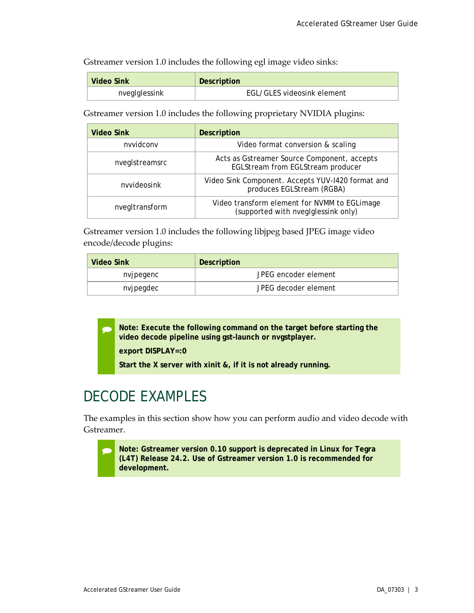Gstreamer version 1.0 includes the following egl image video sinks:

| Video Sink    | <b>Description</b>         |
|---------------|----------------------------|
| nvegIglessink | EGL/GLES videosink element |

<span id="page-6-1"></span>Gstreamer version 1.0 includes the following proprietary NVIDIA plugins:

| <b>Video Sink</b> | <b>Description</b>                                                                  |
|-------------------|-------------------------------------------------------------------------------------|
| nvvidconv         | Video format conversion & scaling                                                   |
| nveglstreamsrc    | Acts as Gstreamer Source Component, accepts<br>EGLStream from EGLStream producer    |
| nvvideosink       | Video Sink Component. Accepts YUV-1420 format and<br>produces EGLStream (RGBA)      |
| nvegItransform    | Video transform element for NVMM to EGLimage<br>(supported with nvegIglessink only) |

Gstreamer version 1.0 includes the following libjpeg based JPEG image video encode/decode plugins:

| Video Sink | Description          |
|------------|----------------------|
| nvjpegenc  | JPEG encoder element |
| nvjpegdec  | JPEG decoder element |

 **Note: Execute the following command on the target before starting the video decode pipeline using gst-launch or nvgstplayer.**

**export DISPLAY=:0**

**Start the X server with xinit &, if it is not already running.**

# <span id="page-6-0"></span>DECODE EXAMPLES

The examples in this section show how you can perform audio and video decode with Gstreamer.

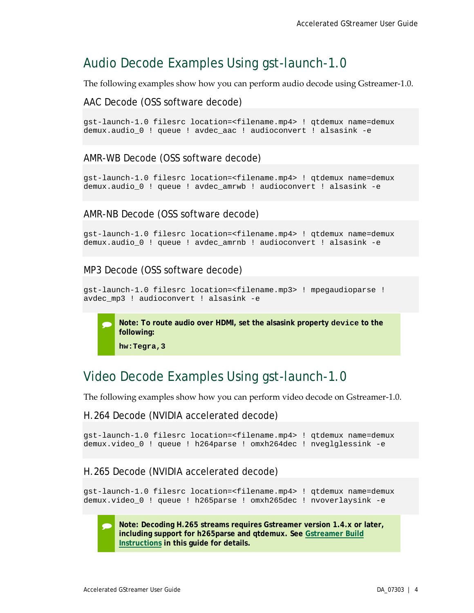## <span id="page-7-0"></span>Audio Decode Examples Using gst-launch-1.0

The following examples show how you can perform audio decode using Gstreamer-1.0.

AAC Decode (OSS software decode)

gst-launch-1.0 filesrc location=<filename.mp4> ! qtdemux name=demux demux.audio\_0 ! queue ! avdec\_aac ! audioconvert ! alsasink -e

AMR-WB Decode (OSS software decode)

gst-launch-1.0 filesrc location=<filename.mp4> ! qtdemux name=demux demux.audio\_0 ! queue ! avdec\_amrwb ! audioconvert ! alsasink -e

AMR-NB Decode (OSS software decode)

gst-launch-1.0 filesrc location=<filename.mp4> ! qtdemux name=demux demux.audio\_0 ! queue ! avdec\_amrnb ! audioconvert ! alsasink -e

MP3 Decode (OSS software decode)

```
gst-launch-1.0 filesrc location=<filename.mp3> ! mpegaudioparse ! 
avdec_mp3 ! audioconvert ! alsasink -e
```
 **Note: To route audio over HDMI, set the alsasink property device to the following:**

**hw:Tegra,3**

## <span id="page-7-1"></span>Video Decode Examples Using gst-launch-1.0

The following examples show how you can perform video decode on Gstreamer-1.0.

H.264 Decode (NVIDIA accelerated decode)

```
gst-launch-1.0 filesrc location=<filename.mp4> ! qtdemux name=demux 
demux.video_0 ! queue ! h264parse ! omxh264dec ! nveglglessink -e
```
H.265 Decode (NVIDIA accelerated decode)

gst-launch-1.0 filesrc location=<filename.mp4> ! qtdemux name=demux demux.video\_0 ! queue ! h265parse ! omxh265dec ! nvoverlaysink -e

 **Note: Decoding H.265 streams requires Gstreamer version 1.4.x or later, including support for h265parse and qtdemux. See [Gstreamer Build](#page-24-0)  [Instructions](#page-24-0) in this guide for details.**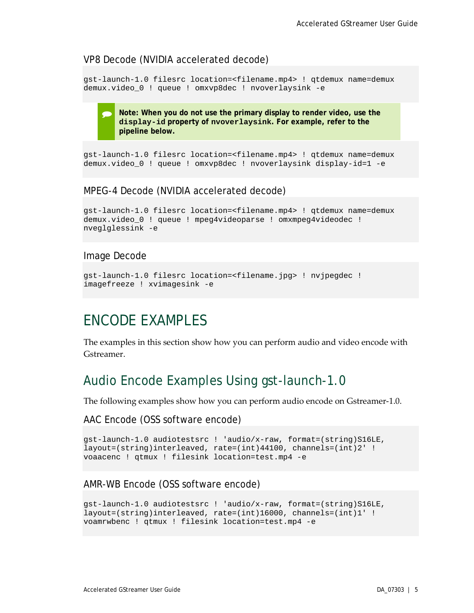#### VP8 Decode (NVIDIA accelerated decode)

gst-launch-1.0 filesrc location=<filename.mp4> ! qtdemux name=demux demux.video\_0 ! queue ! omxvp8dec ! nvoverlaysink -e

> **Note: When you do not use the primary display to render video, use the display-id property of nvoverlaysink. For example, refer to the pipeline below.**

```
gst-launch-1.0 filesrc location=<filename.mp4> ! qtdemux name=demux 
demux.video_0 ! queue ! omxvp8dec ! nvoverlaysink display-id=1 -e
```
#### MPEG-4 Decode (NVIDIA accelerated decode)

```
gst-launch-1.0 filesrc location=<filename.mp4> ! qtdemux name=demux 
demux.video_0 ! queue ! mpeg4videoparse ! omxmpeg4videodec ! 
nveglglessink -e
```
#### Image Decode

```
gst-launch-1.0 filesrc location=<filename.jpg> ! nvjpegdec ! 
imagefreeze ! xvimagesink -e
```
## <span id="page-8-0"></span>ENCODE EXAMPLES

The examples in this section show how you can perform audio and video encode with Gstreamer.

### <span id="page-8-1"></span>Audio Encode Examples Using gst-launch-1.0

The following examples show how you can perform audio encode on Gstreamer-1.0.

AAC Encode (OSS software encode)

```
gst-launch-1.0 audiotestsrc ! 'audio/x-raw, format=(string)S16LE, 
layout=(string)interleaved, rate=(int)44100, channels=(int)2' ! 
voaacenc ! qtmux ! filesink location=test.mp4 -e
```
#### AMR-WB Encode (OSS software encode)

```
gst-launch-1.0 audiotestsrc ! 'audio/x-raw, format=(string)S16LE, 
layout=(string)interleaved, rate=(int)16000, channels=(int)1' ! 
voamrwbenc ! qtmux ! filesink location=test.mp4 -e
```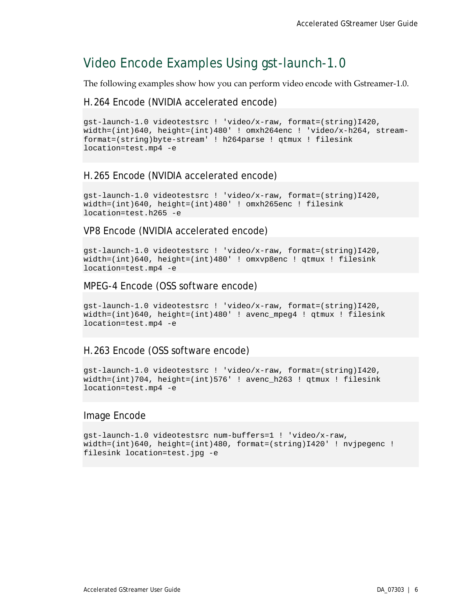## <span id="page-9-0"></span>Video Encode Examples Using gst-launch-1.0

The following examples show how you can perform video encode with Gstreamer-1.0.

#### H.264 Encode (NVIDIA accelerated encode)

```
gst-launch-1.0 videotestsrc ! 'video/x-raw, format=(string)I420, 
width=(int)640, height=(int)480' ! omxh264enc ! 'video/x-h264, stream-
format=(string)byte-stream' ! h264parse ! qtmux ! filesink 
location=test.mp4 -e
```
### H.265 Encode (NVIDIA accelerated encode)

```
gst-launch-1.0 videotestsrc ! 'video/x-raw, format=(string)I420, 
width=(int)640, height=(int)480' ! omxh265enc ! filesink 
location=test.h265 -e
```
#### VP8 Encode (NVIDIA accelerated encode)

gst-launch-1.0 videotestsrc ! 'video/x-raw, format=(string)I420, width=(int)640, height=(int)480' ! omxvp8enc ! qtmux ! filesink location=test.mp4 -e

#### MPEG-4 Encode (OSS software encode)

```
gst-launch-1.0 videotestsrc ! 'video/x-raw, format=(string)I420, 
width=(int)640, height=(int)480' ! avenc_mpeg4 ! qtmux ! filesink 
location=test.mp4 -e
```
#### H.263 Encode (OSS software encode)

```
gst-launch-1.0 videotestsrc ! 'video/x-raw, format=(string)I420, 
width=(int)704, height=(int)576' ! avenc_h263 ! qtmux ! filesink 
location=test.mp4 -e
```
#### Image Encode

```
gst-launch-1.0 videotestsrc num-buffers=1 ! 'video/x-raw, 
width=(int)640, height=(int)480, format=(string)I420' ! nvjpegenc ! 
filesink location=test.jpg -e
```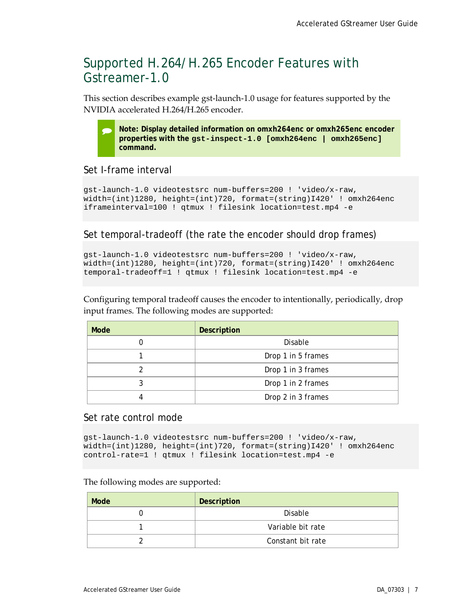## <span id="page-10-0"></span>Supported H.264/H.265 Encoder Features with Gstreamer-1.0

This section describes example gst-launch-1.0 usage for features supported by the NVIDIA accelerated H.264/H.265 encoder.

 **Note: Display detailed information on omxh264enc or omxh265enc encoder properties with the gst-inspect-1.0 [omxh264enc | omxh265enc] command.**

#### <span id="page-10-1"></span>Set I-frame interval

```
gst-launch-1.0 videotestsrc num-buffers=200 ! 'video/x-raw, 
width=(int)1280, height=(int)720, format=(string)I420' ! omxh264enc 
iframeinterval=100 ! qtmux ! filesink location=test.mp4 -e
```
#### Set temporal-tradeoff (the rate the encoder should drop frames)

```
gst-launch-1.0 videotestsrc num-buffers=200 ! 'video/x-raw, 
width=(int)1280, height=(int)720, format=(string)I420' ! omxh264enc 
temporal-tradeoff=1 ! qtmux ! filesink location=test.mp4 -e
```
Configuring temporal tradeoff causes the encoder to intentionally, periodically, drop input frames. The following modes are supported:

| Mode | <b>Description</b> |
|------|--------------------|
|      | Disable            |
|      | Drop 1 in 5 frames |
|      | Drop 1 in 3 frames |
|      | Drop 1 in 2 frames |
|      | Drop 2 in 3 frames |

#### Set rate control mode

```
gst-launch-1.0 videotestsrc num-buffers=200 ! 'video/x-raw, 
width=(int)1280, height=(int)720, format=(string)I420' ! omxh264enc 
control-rate=1 ! qtmux ! filesink location=test.mp4 -e
```
#### The following modes are supported:

| Mode | Description       |
|------|-------------------|
|      | Disable           |
|      | Variable bit rate |
|      | Constant bit rate |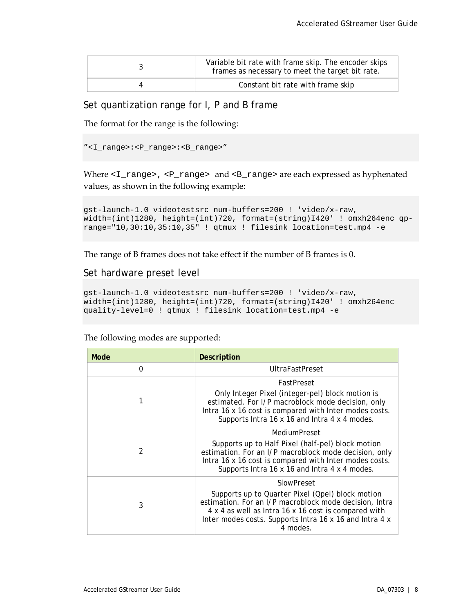| Variable bit rate with frame skip. The encoder skips<br>frames as necessary to meet the target bit rate. |
|----------------------------------------------------------------------------------------------------------|
| Constant bit rate with frame skip                                                                        |

### Set quantization range for I, P and B frame

The format for the range is the following:

"<I\_range>:<P\_range>:<B\_range>"

Where <I\_range>, <P\_range> and <B\_range> are each expressed as hyphenated values, as shown in the following example:

```
gst-launch-1.0 videotestsrc num-buffers=200 ! 'video/x-raw, 
width=(int)1280, height=(int)720, format=(string)I420' ! omxh264enc qp-
range="10,30:10,35:10,35" ! qtmux ! filesink location=test.mp4 -e
```
The range of B frames does not take effect if the number of B frames is 0.

#### Set hardware preset level

```
gst-launch-1.0 videotestsrc num-buffers=200 ! 'video/x-raw, 
width=(int)1280, height=(int)720, format=(string)I420' ! omxh264enc 
quality-level=0 ! qtmux ! filesink location=test.mp4 -e
```
The following modes are supported:

| Mode           | <b>Description</b>                                                                                                                                                                                                                        |  |
|----------------|-------------------------------------------------------------------------------------------------------------------------------------------------------------------------------------------------------------------------------------------|--|
| $\Omega$       | <b>UltraFastPreset</b>                                                                                                                                                                                                                    |  |
|                | FastPreset                                                                                                                                                                                                                                |  |
| 1              | Only Integer Pixel (integer-pel) block motion is<br>estimated. For I/P macroblock mode decision, only<br>Intra 16 x 16 cost is compared with Inter modes costs.<br>Supports Intra 16 x 16 and Intra 4 x 4 modes.                          |  |
|                | MediumPreset                                                                                                                                                                                                                              |  |
| $\mathfrak{D}$ | Supports up to Half Pixel (half-pel) block motion<br>estimation. For an I/P macroblock mode decision, only<br>Intra 16 x 16 cost is compared with Inter modes costs.<br>Supports Intra 16 x 16 and Intra 4 x 4 modes.                     |  |
|                | SlowPreset                                                                                                                                                                                                                                |  |
| 3              | Supports up to Quarter Pixel (Qpel) block motion<br>estimation. For an I/P macroblock mode decision, Intra<br>4 x 4 as well as Intra 16 x 16 cost is compared with<br>Inter modes costs. Supports Intra 16 x 16 and Intra 4 x<br>4 modes. |  |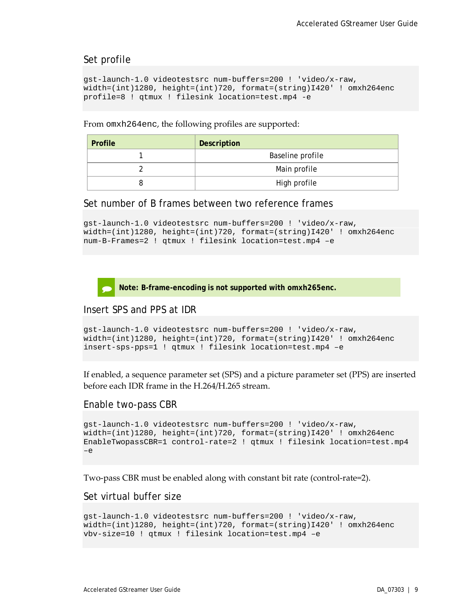#### Set profile

```
gst-launch-1.0 videotestsrc num-buffers=200 ! 'video/x-raw, 
width=(int)1280, height=(int)720, format=(string)I420' ! omxh264enc 
profile=8 ! qtmux ! filesink location=test.mp4 -e
```
From omxh264enc, the following profiles are supported:

| <b>Profile</b> | Description      |  |
|----------------|------------------|--|
|                | Baseline profile |  |
|                | Main profile     |  |
|                | High profile     |  |

#### Set number of B frames between two reference frames

```
gst-launch-1.0 videotestsrc num-buffers=200 ! 'video/x-raw, 
width=(int)1280, height=(int)720, format=(string)I420' ! omxh264enc 
num-B-Frames=2 ! qtmux ! filesink location=test.mp4 –e
```

```
 Note: B-frame-encoding is not supported with omxh265enc.
```
#### Insert SPS and PPS at IDR

```
gst-launch-1.0 videotestsrc num-buffers=200 ! 'video/x-raw, 
width=(int)1280, height=(int)720, format=(string)I420' ! omxh264enc 
insert-sps-pps=1 ! qtmux ! filesink location=test.mp4 –e
```
If enabled, a sequence parameter set (SPS) and a picture parameter set (PPS) are inserted before each IDR frame in the H.264/H.265 stream.

#### Enable two-pass CBR

```
gst-launch-1.0 videotestsrc num-buffers=200 ! 'video/x-raw, 
width=(int)1280, height=(int)720, format=(string)I420' ! omxh264enc 
EnableTwopassCBR=1 control-rate=2 ! qtmux ! filesink location=test.mp4 
-\epsilon
```
Two-pass CBR must be enabled along with constant bit rate (control-rate=2).

#### Set virtual buffer size

```
gst-launch-1.0 videotestsrc num-buffers=200 ! 'video/x-raw, 
width=(int)1280, height=(int)720, format=(string)I420' ! omxh264enc 
vbv-size=10 ! qtmux ! filesink location=test.mp4 –e
```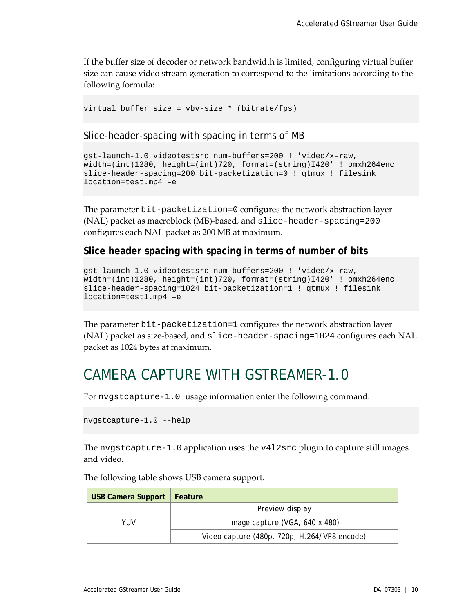If the buffer size of decoder or network bandwidth is limited, configuring virtual buffer size can cause video stream generation to correspond to the limitations according to the following formula:

virtual buffer size = vbv-size \* (bitrate/fps)

Slice-header-spacing with spacing in terms of MB

```
gst-launch-1.0 videotestsrc num-buffers=200 ! 'video/x-raw, 
width=(int)1280, height=(int)720, format=(string)I420' ! omxh264enc 
slice-header-spacing=200 bit-packetization=0 ! qtmux ! filesink 
location=test.mp4 –e
```
The parameter bit-packetization=0 configures the network abstraction layer (NAL) packet as macroblock (MB)-based, and slice-header-spacing=200 configures each NAL packet as 200 MB at maximum.

#### **Slice header spacing with spacing in terms of number of bits**

```
gst-launch-1.0 videotestsrc num-buffers=200 ! 'video/x-raw, 
width=(int)1280, height=(int)720, format=(string)I420' ! omxh264enc 
slice-header-spacing=1024 bit-packetization=1 ! qtmux ! filesink 
location=test1.mp4 –e
```
The parameter bit-packetization=1 configures the network abstraction layer (NAL) packet as size-based, and slice-header-spacing=1024 configures each NAL packet as 1024 bytes at maximum.

## <span id="page-13-0"></span>CAMERA CAPTURE WITH GSTREAMER-1.0

For nvgstcapture-1.0 usage information enter the following command:

```
nvgstcapture-1.0 --help
```
The nvgstcapture-1.0 application uses the v4l2src plugin to capture still images and video.

| <b>USB Camera Support</b> | Feature                                      |  |
|---------------------------|----------------------------------------------|--|
|                           | Preview display                              |  |
| YUV                       | Image capture (VGA, 640 x 480)               |  |
|                           | Video capture (480p, 720p, H.264/VP8 encode) |  |

The following table shows USB camera support.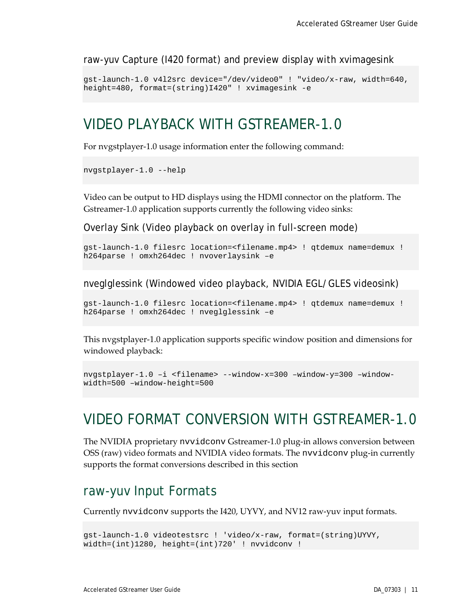raw-yuv Capture (I420 format) and preview display with xvimagesink

```
gst-launch-1.0 v4l2src device="/dev/video0" ! "video/x-raw, width=640, 
height=480, format=(string)I420" ! xvimagesink -e
```
## <span id="page-14-0"></span>VIDEO PLAYBACK WITH GSTREAMER-1.0

For nvgstplayer-1.0 usage information enter the following command:

```
nvgstplayer-1.0 --help
```
Video can be output to HD displays using the HDMI connector on the platform. The Gstreamer-1.0 application supports currently the following video sinks:

Overlay Sink (Video playback on overlay in full-screen mode)

```
gst-launch-1.0 filesrc location=<filename.mp4> ! qtdemux name=demux ! 
h264parse ! omxh264dec ! nvoverlaysink –e
```
nveglglessink (Windowed video playback, NVIDIA EGL/GLES videosink)

```
gst-launch-1.0 filesrc location=<filename.mp4> ! qtdemux name=demux ! 
h264parse ! omxh264dec ! nveglglessink –e
```
This nvgstplayer-1.0 application supports specific window position and dimensions for windowed playback:

```
nvgstplayer-1.0 –i <filename> --window-x=300 –window-y=300 –window-
width=500 –window-height=500
```
## <span id="page-14-1"></span>VIDEO FORMAT CONVERSION WITH GSTREAMER-1.0

The NVIDIA proprietary nvvidconv Gstreamer-1.0 plug-in allows conversion between OSS (raw) video formats and NVIDIA video formats. The nvvidconv plug-in currently supports the format conversions described in this section

### <span id="page-14-2"></span>raw-yuv Input Formats

Currently nvvidconv supports the I420, UYVY, and NV12 raw-yuv input formats.

```
gst-launch-1.0 videotestsrc ! 'video/x-raw, format=(string)UYVY, 
width=(int)1280, height=(int)720' ! nvvidconv !
```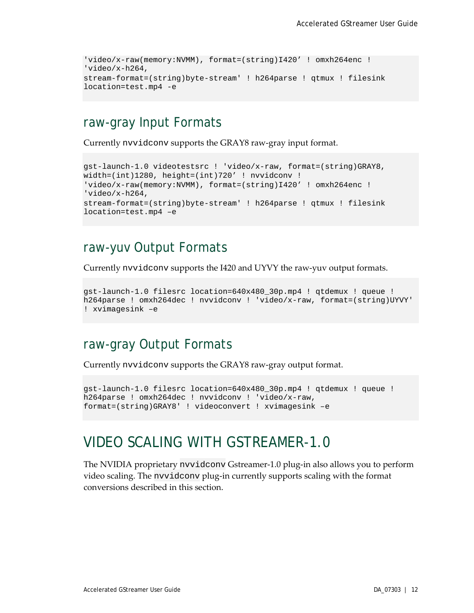```
'video/x-raw(memory:NVMM), format=(string)I420' ! omxh264enc ! 
'video/x-h264,
stream-format=(string)byte-stream' ! h264parse ! qtmux ! filesink 
location=test.mp4 -e
```
## <span id="page-15-0"></span>raw-gray Input Formats

Currently nvvidconv supports the GRAY8 raw-gray input format.

```
gst-launch-1.0 videotestsrc ! 'video/x-raw, format=(string)GRAY8, 
width=(int)1280, height=(int)720' ! nvvidconv !
'video/x-raw(memory:NVMM), format=(string)I420' ! omxh264enc ! 
'video/x-h264,
stream-format=(string)byte-stream' ! h264parse ! qtmux ! filesink 
location=test.mp4 –e
```
### <span id="page-15-1"></span>raw-yuv Output Formats

Currently nvvidconv supports the I420 and UYVY the raw-yuv output formats.

```
gst-launch-1.0 filesrc location=640x480_30p.mp4 ! qtdemux ! queue ! 
h264parse ! omxh264dec ! nvvidconv ! 'video/x-raw, format=(string)UYVY' 
! xvimagesink –e
```
### <span id="page-15-2"></span>raw-gray Output Formats

Currently nvvidconv supports the GRAY8 raw-gray output format.

```
gst-launch-1.0 filesrc location=640x480_30p.mp4 ! qtdemux ! queue ! 
h264parse ! omxh264dec ! nvvidconv ! 'video/x-raw, 
format=(string)GRAY8' ! videoconvert ! xvimagesink –e
```
## <span id="page-15-3"></span>VIDEO SCALING WITH GSTREAMER-1.0

The NVIDIA proprietary nvvidconv Gstreamer-1.0 plug-in also allows you to perform video scaling. The nvvidconv plug-in currently supports scaling with the format conversions described in this section.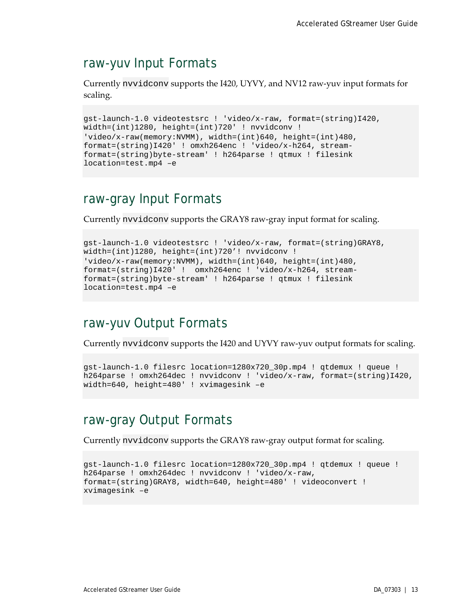### <span id="page-16-0"></span>raw-yuv Input Formats

Currently nvvidconv supports the I420, UYVY, and NV12 raw-yuv input formats for scaling.

```
gst-launch-1.0 videotestsrc ! 'video/x-raw, format=(string)I420, 
width=(int)1280, height=(int)720' ! nvvidconv ! 
'video/x-raw(memory:NVMM), width=(int)640, height=(int)480, 
format=(string)I420' ! omxh264enc ! 'video/x-h264, stream-
format=(string)byte-stream' ! h264parse ! qtmux ! filesink 
location=test.mp4 –e
```
### <span id="page-16-1"></span>raw-gray Input Formats

Currently nvvidconv supports the GRAY8 raw-gray input format for scaling.

```
gst-launch-1.0 videotestsrc ! 'video/x-raw, format=(string)GRAY8, 
width=(int)1280, height=(int)720'! nvvidconv !
'video/x-raw(memory:NVMM), width=(int)640, height=(int)480, 
format=(string)I420' ! omxh264enc ! 'video/x-h264, stream-
format=(string)byte-stream' ! h264parse ! qtmux ! filesink 
location=test.mp4 –e
```
## <span id="page-16-2"></span>raw-yuv Output Formats

Currently nvvidconv supports the I420 and UYVY raw-yuv output formats for scaling.

```
gst-launch-1.0 filesrc location=1280x720_30p.mp4 ! qtdemux ! queue ! 
h264parse ! omxh264dec ! nvvidconv ! 'video/x-raw, format=(string)I420, 
width=640, height=480' ! xvimagesink –e
```
### <span id="page-16-3"></span>raw-gray Output Formats

Currently nvvidconv supports the GRAY8 raw-gray output format for scaling.

```
gst-launch-1.0 filesrc location=1280x720_30p.mp4 ! qtdemux ! queue ! 
h264parse ! omxh264dec ! nvvidconv ! 'video/x-raw, 
format=(string)GRAY8, width=640, height=480' ! videoconvert ! 
xvimagesink –e
```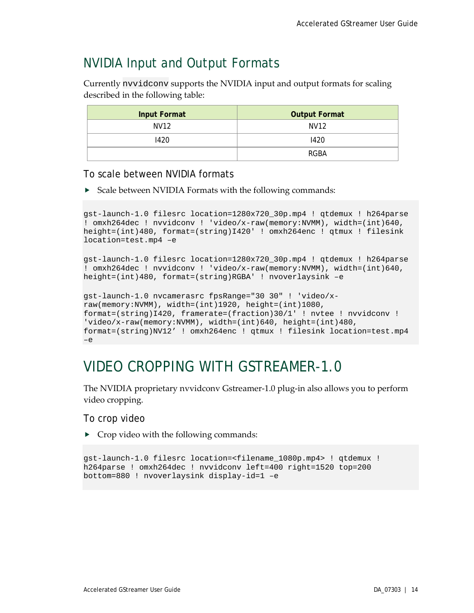## <span id="page-17-0"></span>NVIDIA Input and Output Formats

Currently nvvidconv supports the NVIDIA input and output formats for scaling described in the following table:

| <b>Input Format</b> | <b>Output Format</b> |
|---------------------|----------------------|
| <b>NV12</b>         | NV12                 |
| 1420                | 1420                 |
|                     | RGBA                 |

To scale between NVIDIA formats

▶ Scale between NVIDIA Formats with the following commands:

```
gst-launch-1.0 filesrc location=1280x720_30p.mp4 ! qtdemux ! h264parse 
! omxh264dec ! nvvidconv ! 'video/x-raw(memory:NVMM), width=(int)640, 
height=(int)480, format=(string)I420' ! omxh264enc ! qtmux ! filesink 
location=test.mp4 –e
```

```
gst-launch-1.0 filesrc location=1280x720_30p.mp4 ! qtdemux ! h264parse 
! omxh264dec ! nvvidconv ! 'video/x-raw(memory:NVMM), width=(int)640, 
height=(int)480, format=(string)RGBA' ! nvoverlaysink –e
```

```
gst-launch-1.0 nvcamerasrc fpsRange="30 30" ! 'video/x-
raw(memory:NVMM), width=(int)1920, height=(int)1080, 
format=(string)I420, framerate=(fraction)30/1' ! nvtee ! nvvidconv ! 
'video/x-raw(memory:NVMM), width=(int)640, height=(int)480,
format=(string)NV12' ! omxh264enc ! qtmux ! filesink location=test.mp4 
–e
```
## <span id="page-17-1"></span>VIDEO CROPPING WITH GSTREAMER-1.0

The NVIDIA proprietary nvvidconv Gstreamer-1.0 plug-in also allows you to perform video cropping.

To crop video

 $\triangleright$  Crop video with the following commands:

```
gst-launch-1.0 filesrc location=<filename_1080p.mp4> ! qtdemux ! 
h264parse ! omxh264dec ! nvvidconv left=400 right=1520 top=200 
bottom=880 ! nvoverlaysink display-id=1 –e
```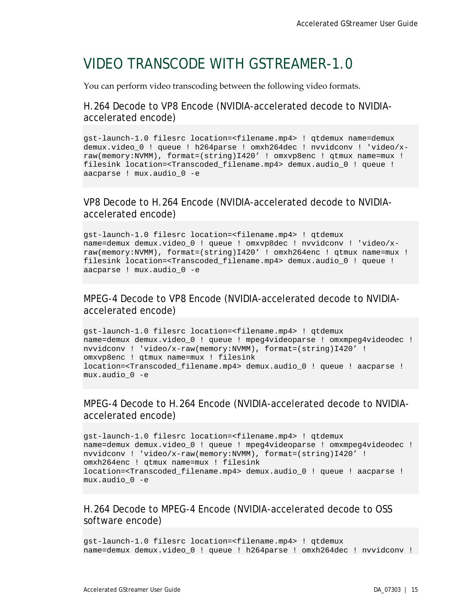## <span id="page-18-0"></span>VIDEO TRANSCODE WITH GSTREAMER-1.0

You can perform video transcoding between the following video formats.

### H.264 Decode to VP8 Encode (NVIDIA-accelerated decode to NVIDIAaccelerated encode)

```
gst-launch-1.0 filesrc location=<filename.mp4> ! qtdemux name=demux
demux.video_0 ! queue ! h264parse ! omxh264dec ! nvvidconv ! 'video/x-
raw(memory:NVMM), format=(string)I420' ! omxvp8enc ! qtmux name=mux ! 
filesink location=<Transcoded_filename.mp4> demux.audio_0 ! queue ! 
aacparse ! mux.audio_0 -e
```
### VP8 Decode to H.264 Encode (NVIDIA-accelerated decode to NVIDIAaccelerated encode)

```
gst-launch-1.0 filesrc location=<filename.mp4> ! qtdemux 
name=demux demux.video_0 ! queue ! omxvp8dec ! nvvidconv ! 'video/x-
raw(memory:NVMM), format=(string)I420' ! omxh264enc ! qtmux name=mux ! 
filesink location=<Transcoded_filename.mp4> demux.audio_0 ! queue ! 
aacparse ! mux.audio_0 -e
```
### MPEG-4 Decode to VP8 Encode (NVIDIA-accelerated decode to NVIDIAaccelerated encode)

```
gst-launch-1.0 filesrc location=<filename.mp4> ! qtdemux 
name=demux demux.video_0 ! queue ! mpeg4videoparse ! omxmpeg4videodec ! 
nvvidconv ! 'video/x-raw(memory:NVMM), format=(string)I420' ! 
omxvp8enc ! qtmux name=mux ! filesink 
location=<Transcoded_filename.mp4> demux.audio_0 ! queue ! aacparse ! 
mux.audio_0 -e
```
### MPEG-4 Decode to H.264 Encode (NVIDIA-accelerated decode to NVIDIAaccelerated encode)

```
gst-launch-1.0 filesrc location=<filename.mp4> ! qtdemux 
name=demux demux.video_0 ! queue ! mpeg4videoparse ! omxmpeg4videodec ! 
nvvidconv ! 'video/x-raw(memory:NVMM), format=(string)I420' ! 
omxh264enc ! qtmux name=mux ! filesink 
location=<Transcoded_filename.mp4> demux.audio_0 ! queue ! aacparse ! 
mux.audio_0 -e
```
### H.264 Decode to MPEG-4 Encode (NVIDIA-accelerated decode to OSS software encode)

```
gst-launch-1.0 filesrc location=<filename.mp4> ! qtdemux 
name=demux demux.video 0 ! queue ! h264parse ! omxh264dec ! nvvidconv !
```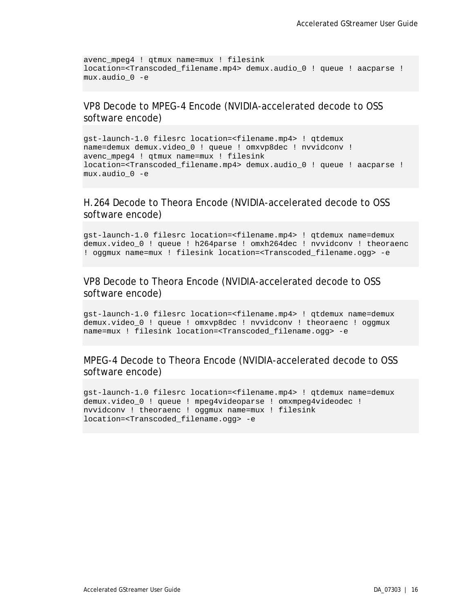```
avenc_mpeg4 ! qtmux name=mux ! filesink 
location=<Transcoded_filename.mp4> demux.audio_0 ! queue ! aacparse ! 
mux.audio_0 -e
```
### VP8 Decode to MPEG-4 Encode (NVIDIA-accelerated decode to OSS software encode)

gst-launch-1.0 filesrc location=<filename.mp4> ! qtdemux name=demux demux.video\_0 ! queue ! omxvp8dec ! nvvidconv ! avenc\_mpeg4 ! qtmux name=mux ! filesink location=<Transcoded\_filename.mp4> demux.audio\_0 ! queue ! aacparse ! mux.audio\_0 -e

### H.264 Decode to Theora Encode (NVIDIA-accelerated decode to OSS software encode)

gst-launch-1.0 filesrc location=<filename.mp4> ! qtdemux name=demux demux.video\_0 ! queue ! h264parse ! omxh264dec ! nvvidconv ! theoraenc ! oggmux name=mux ! filesink location=<Transcoded\_filename.ogg> -e

#### VP8 Decode to Theora Encode (NVIDIA-accelerated decode to OSS software encode)

gst-launch-1.0 filesrc location=<filename.mp4> ! qtdemux name=demux demux.video 0 ! queue ! omxvp8dec ! nvvidconv ! theoraenc ! oggmux name=mux ! filesink location=<Transcoded\_filename.ogg> -e

### MPEG-4 Decode to Theora Encode (NVIDIA-accelerated decode to OSS software encode)

gst-launch-1.0 filesrc location=<filename.mp4> ! qtdemux name=demux demux.video\_0 ! queue ! mpeg4videoparse ! omxmpeg4videodec ! nvvidconv ! theoraenc ! oggmux name=mux ! filesink location=<Transcoded\_filename.ogg> -e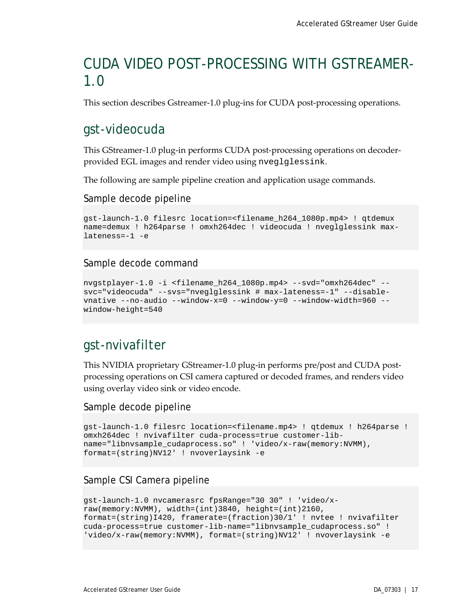# <span id="page-20-0"></span>CUDA VIDEO POST-PROCESSING WITH GSTREAMER-1.0

This section describes Gstreamer-1.0 plug-ins for CUDA post-processing operations.

### <span id="page-20-1"></span>gst-videocuda

This GStreamer-1.0 plug-in performs CUDA post-processing operations on decoderprovided EGL images and render video using nveglglessink.

The following are sample pipeline creation and application usage commands.

Sample decode pipeline

```
gst-launch-1.0 filesrc location=<filename_h264_1080p.mp4> ! qtdemux 
name=demux ! h264parse ! omxh264dec ! videocuda ! nveglglessink max-
lateness=-1 -e
```
#### Sample decode command

```
nvgstplayer-1.0 -i <filename_h264_1080p.mp4> --svd="omxh264dec" --
svc="videocuda" --svs="nveglglessink # max-lateness=-1" --disable-
vnative --no-audio --window-x=0 --window-y=0 --window-width=960 --
window-height=540
```
### <span id="page-20-2"></span>gst-nvivafilter

This NVIDIA proprietary GStreamer-1.0 plug-in performs pre/post and CUDA postprocessing operations on CSI camera captured or decoded frames, and renders video using overlay video sink or video encode.

#### <span id="page-20-3"></span>Sample decode pipeline

```
gst-launch-1.0 filesrc location=<filename.mp4> ! qtdemux ! h264parse ! 
omxh264dec ! nvivafilter cuda-process=true customer-lib-
name="libnvsample_cudaprocess.so" ! 'video/x-raw(memory:NVMM), 
format=(string)NV12' ! nvoverlaysink -e
```
### Sample CSI Camera pipeline

```
gst-launch-1.0 nvcamerasrc fpsRange="30 30" ! 'video/x-
raw(memory:NVMM), width=(int)3840, height=(int)2160, 
format=(string)I420, framerate=(fraction)30/1' ! nvtee ! nvivafilter 
cuda-process=true customer-lib-name="libnvsample_cudaprocess.so" ! 
'video/x-raw(memory:NVMM), format=(string)NV12' ! nvoverlaysink -e
```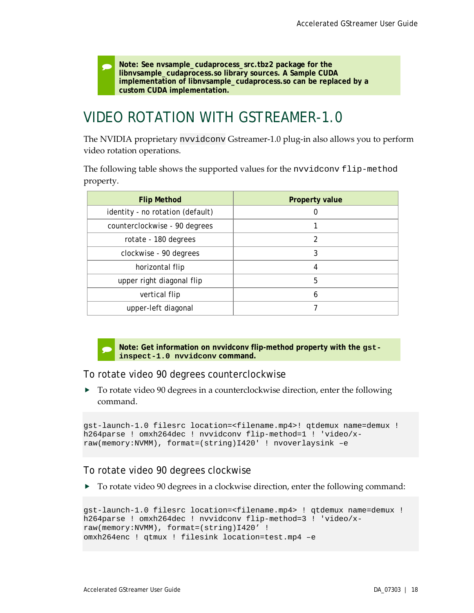**Note: See nvsample\_cudaprocess\_src.tbz2 package for the libnvsample\_cudaprocess.so library sources. A Sample CUDA implementation of libnvsample\_cudaprocess.so can be replaced by a custom CUDA implementation.**

# <span id="page-21-0"></span>VIDEO ROTATION WITH GSTREAMER-1.0

The NVIDIA proprietary nvvidconv Gstreamer-1.0 plug-in also allows you to perform video rotation operations.

The following table shows the supported values for the nvvidconv flip-method property.

| <b>Flip Method</b>               | <b>Property value</b> |
|----------------------------------|-----------------------|
| identity - no rotation (default) |                       |
| counterclockwise - 90 degrees    |                       |
| rotate - 180 degrees             | 2                     |
| clockwise - 90 degrees           | 3                     |
| horizontal flip                  | 4                     |
| upper right diagonal flip        | 5                     |
| vertical flip                    | 6                     |
| upper-left diagonal              |                       |



 **Note: Get information on nvvidconv flip-method property with the gstinspect-1.0 nvvidconv command.**

#### To rotate video 90 degrees counterclockwise

 To rotate video 90 degrees in a counterclockwise direction, enter the following command.

```
gst-launch-1.0 filesrc location=<filename.mp4>! qtdemux name=demux ! 
h264parse ! omxh264dec ! nvvidconv flip-method=1 ! 'video/x-
raw(memory:NVMM), format=(string)I420' ! nvoverlaysink –e
```
#### To rotate video 90 degrees clockwise

 $\triangleright$  To rotate video 90 degrees in a clockwise direction, enter the following command:

```
gst-launch-1.0 filesrc location=<filename.mp4> ! qtdemux name=demux ! 
h264parse ! omxh264dec ! nvvidconv flip-method=3 ! 'video/x-
raw(memory:NVMM), format=(string)I420' !
omxh264enc ! qtmux ! filesink location=test.mp4 –e
```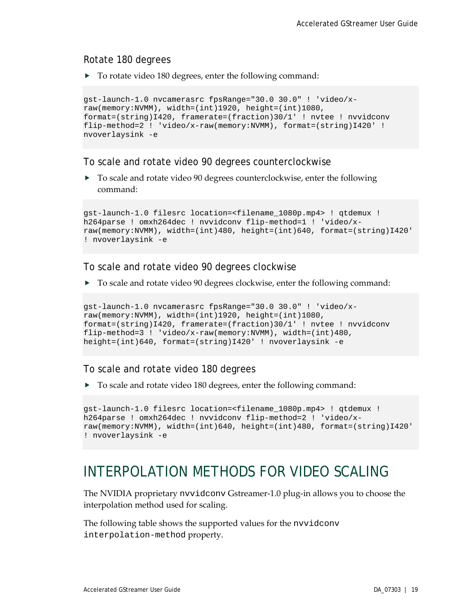#### Rotate 180 degrees

▶ To rotate video 180 degrees, enter the following command:

```
gst-launch-1.0 nvcamerasrc fpsRange="30.0 30.0" ! 'video/x-
raw(memory:NVMM), width=(int)1920, height=(int)1080, 
format=(string)I420, framerate=(fraction)30/1' ! nvtee ! nvvidconv 
flip-method=2 ! 'video/x-raw(memory:NVMM), format=(string)I420' ! 
nvoverlaysink -e
```
#### To scale and rotate video 90 degrees counterclockwise

▶ To scale and rotate video 90 degrees counterclockwise, enter the following command:

```
gst-launch-1.0 filesrc location=<filename_1080p.mp4> ! qtdemux ! 
h264parse ! omxh264dec ! nvvidconv flip-method=1 ! 'video/x-
raw(memory:NVMM), width=(int)480, height=(int)640, format=(string)I420' 
! nvoverlaysink -e
```
#### To scale and rotate video 90 degrees clockwise

To scale and rotate video 90 degrees clockwise, enter the following command:

```
gst-launch-1.0 nvcamerasrc fpsRange="30.0 30.0" ! 'video/x-
raw(memory:NVMM), width=(int)1920, height=(int)1080, 
format=(string)I420, framerate=(fraction)30/1' ! nvtee ! nvvidconv 
flip-method=3 ! 'video/x-raw(memory:NVMM), width=(int)480, 
height=(int)640, format=(string)I420' ! nvoverlaysink -e
```
#### To scale and rotate video 180 degrees

▶ To scale and rotate video 180 degrees, enter the following command:

```
gst-launch-1.0 filesrc location=<filename_1080p.mp4> ! qtdemux ! 
h264parse ! omxh264dec ! nvvidconv flip-method=2 ! 'video/x-
raw(memory:NVMM), width=(int)640, height=(int)480, format=(string)I420' 
! nvoverlaysink -e
```
## <span id="page-22-0"></span>INTERPOLATION METHODS FOR VIDEO SCALING

The NVIDIA proprietary nvvidconv Gstreamer-1.0 plug-in allows you to choose the interpolation method used for scaling.

The following table shows the supported values for the nvvidconv interpolation-method property.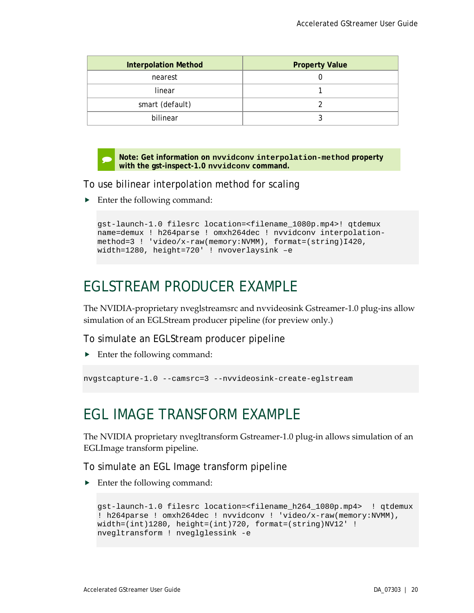| <b>Interpolation Method</b> | <b>Property Value</b> |
|-----------------------------|-----------------------|
| nearest                     |                       |
| linear                      |                       |
| smart (default)             |                       |
| bilinear                    |                       |

 **Note: Get information on nvvidconv interpolation-method property with the gst-inspect-1.0 nvvidconv command.**

To use bilinear interpolation method for scaling

▶ Enter the following command:

```
gst-launch-1.0 filesrc location=<filename_1080p.mp4>! qtdemux 
name=demux ! h264parse ! omxh264dec ! nvvidconv interpolation-
method=3 ! 'video/x-raw(memory:NVMM), format=(string)I420, 
width=1280, height=720' ! nvoverlaysink –e
```
## <span id="page-23-0"></span>EGLSTREAM PRODUCER EXAMPLE

The NVIDIA-proprietary nveglstreamsrc and nvvideosink Gstreamer-1.0 plug-ins allow simulation of an EGLStream producer pipeline (for preview only.)

To simulate an EGLStream producer pipeline

▶ Enter the following command:

```
nvgstcapture-1.0 --camsrc=3 --nvvideosink-create-eglstream
```
## <span id="page-23-1"></span>EGL IMAGE TRANSFORM EXAMPLE

The NVIDIA proprietary nvegltransform Gstreamer-1.0 plug-in allows simulation of an EGLImage transform pipeline.

To simulate an EGL Image transform pipeline

▶ Enter the following command:

```
gst-launch-1.0 filesrc location=<filename_h264_1080p.mp4> ! qtdemux 
! h264parse ! omxh264dec ! nvvidconv ! 'video/x-raw(memory:NVMM), 
width=(int)1280, height=(int)720, format=(string)NV12' ! 
nvegltransform ! nveglglessink -e
```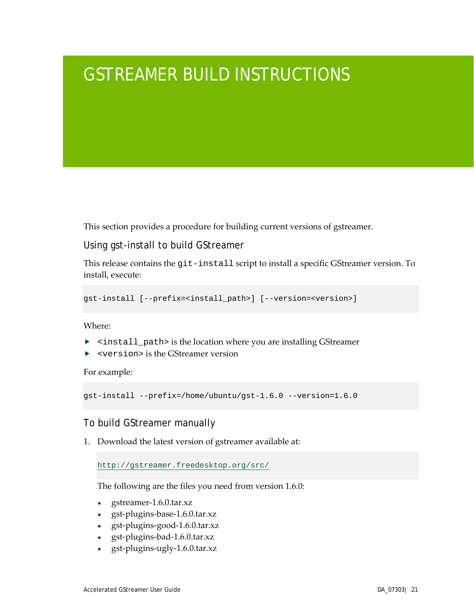# <span id="page-24-0"></span>GSTREAMER BUILD INSTRUCTIONS

This section provides a procedure for building current versions of gstreamer.

### Using gst-install to build GStreamer

This release contains the git-install script to install a specific GStreamer version. To install, execute:

```
gst-install [--prefix=<install_path>] [--version=<version>]
```
Where:

- <install\_path> is the location where you are installing GStreamer
- ▶ <version> is the GStreamer version

For example:

```
gst-install --prefix=/home/ubuntu/gst-1.6.0 --version=1.6.0
```
### To build GStreamer manually

1. Download the latest version of gstreamer available at:

<http://gstreamer.freedesktop.org/src/>

The following are the files you need from version 1.6.0:

- gstreamer-1.6.0.tar.xz
- gst-plugins-base-1.6.0.tar.xz
- gst-plugins-good-1.6.0.tar.xz
- gst-plugins-bad-1.6.0.tar.xz
- gst-plugins-ugly-1.6.0.tar.xz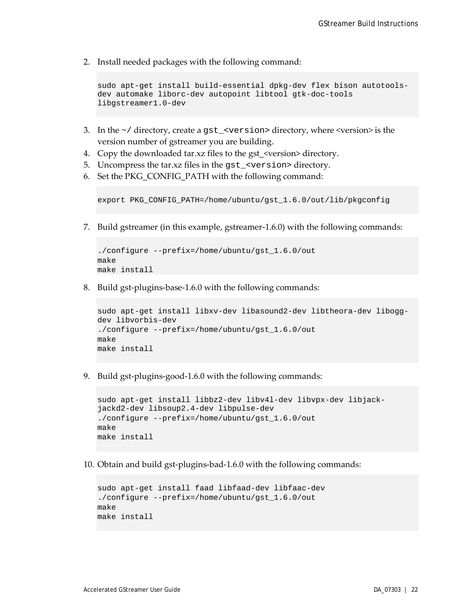2. Install needed packages with the following command:

```
sudo apt-get install build-essential dpkg-dev flex bison autotools-
dev automake liborc-dev autopoint libtool gtk-doc-tools
libgstreamer1.0-dev
```
- 3. In the  $\sim$  / directory, create a gst\_<version> directory, where <version> is the version number of gstreamer you are building.
- 4. Copy the downloaded tar.xz files to the gst\_<version> directory.
- 5. Uncompress the tar.xz files in the gst\_<version> directory.
- 6. Set the PKG CONFIG PATH with the following command:

```
export PKG_CONFIG_PATH=/home/ubuntu/gst_1.6.0/out/lib/pkgconfig
```
7. Build gstreamer (in this example, gstreamer-1.6.0) with the following commands:

```
./configure --prefix=/home/ubuntu/gst_1.6.0/out
make
make install
```
8. Build gst-plugins-base-1.6.0 with the following commands:

```
sudo apt-get install libxv-dev libasound2-dev libtheora-dev libogg-
dev libvorbis-dev
./configure --prefix=/home/ubuntu/gst_1.6.0/out
make
make install
```
9. Build gst-plugins-good-1.6.0 with the following commands:

```
sudo apt-get install libbz2-dev libv4l-dev libvpx-dev libjack-
jackd2-dev libsoup2.4-dev libpulse-dev
./configure --prefix=/home/ubuntu/gst_1.6.0/out
make
make install
```
10. Obtain and build gst-plugins-bad-1.6.0 with the following commands:

```
sudo apt-get install faad libfaad-dev libfaac-dev
./configure --prefix=/home/ubuntu/gst_1.6.0/out
make
make install
```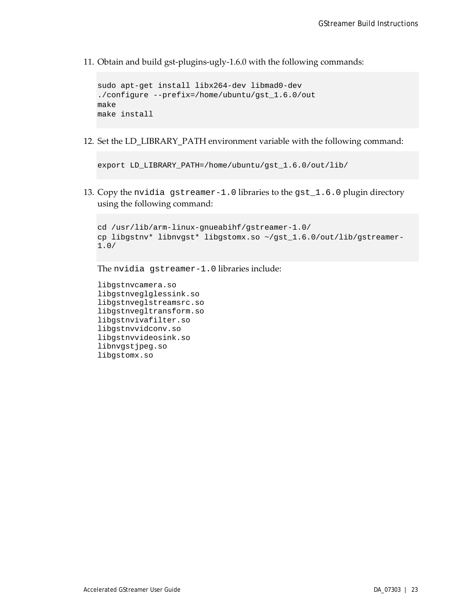11. Obtain and build gst-plugins-ugly-1.6.0 with the following commands:

```
sudo apt-get install libx264-dev libmad0-dev
./configure --prefix=/home/ubuntu/gst_1.6.0/out
make
make install
```
12. Set the LD\_LIBRARY\_PATH environment variable with the following command:

```
export LD_LIBRARY_PATH=/home/ubuntu/gst_1.6.0/out/lib/
```
13. Copy the nvidia gstreamer-1.0 libraries to the gst\_1.6.0 plugin directory using the following command:

```
cd /usr/lib/arm-linux-gnueabihf/gstreamer-1.0/
cp libgstnv* libnvgst* libgstomx.so ~/gst_1.6.0/out/lib/gstreamer-
1.0/
```
The nvidia gstreamer-1.0 libraries include:

```
libgstnvcamera.so
libgstnveglglessink.so
libgstnveglstreamsrc.so
libgstnvegltransform.so
libgstnvivafilter.so
libgstnvvidconv.so
libgstnvvideosink.so
libnvgstjpeg.so
libgstomx.so
```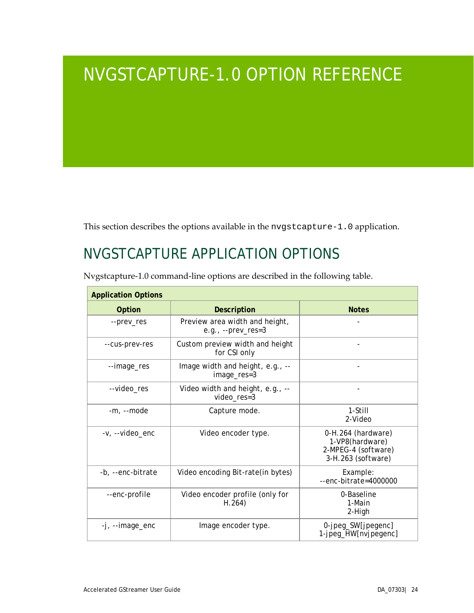# <span id="page-27-0"></span>NVGSTCAPTURE-1.0 OPTION REFERENCE

This section describes the options available in the nvgstcapture-1.0 application.

# <span id="page-27-1"></span>NVGSTCAPTURE APPLICATION OPTIONS

| <b>Application Options</b> |                                                         |                                                                                    |
|----------------------------|---------------------------------------------------------|------------------------------------------------------------------------------------|
| <b>Option</b>              | <b>Description</b>                                      | <b>Notes</b>                                                                       |
| --prev_res                 | Preview area width and height,<br>e.g., $-$ -prev_res=3 |                                                                                    |
| --cus-prev-res             | Custom preview width and height<br>for CSI only         |                                                                                    |
| --image_res                | Image width and height, e.g., --<br>image_res=3         |                                                                                    |
| --video_res                | Video width and height, e.g., --<br>video_res=3         |                                                                                    |
| -m, --mode                 | Capture mode.                                           | 1-Still<br>2-Video                                                                 |
| -v, --video enc            | Video encoder type.                                     | 0-H.264 (hardware)<br>1-VP8(hardware)<br>2-MPEG-4 (software)<br>3-H.263 (software) |
| -b, --enc-bitrate          | Video encoding Bit-rate (in bytes)                      | Example:<br>--enc-bitrate=4000000                                                  |
| --enc-profile              | Video encoder profile (only for<br>H.264)               | 0-Baseline<br>1-Main<br>2-High                                                     |
| -j, --image_enc            | Image encoder type.                                     | 0-jpeg_SW[jpegenc]<br>1-jpeg_HW[nvjpegenc]                                         |

Nvgstcapture-1.0 command-line options are described in the following table.

 $\mathbf{r}$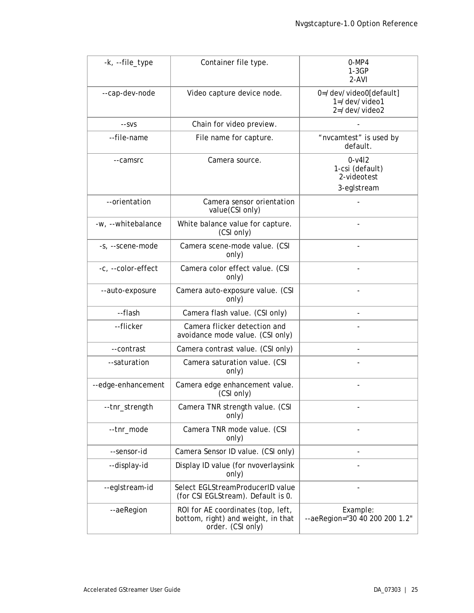| -k, --file_type    | Container file type.                                                                          | $0-MP4$<br>$1-3GP$<br>2-AVI                                      |
|--------------------|-----------------------------------------------------------------------------------------------|------------------------------------------------------------------|
| --cap-dev-node     | Video capture device node.                                                                    | 0=/dev/video0[default]<br>$1 = /dev/video1$<br>$2 = /dev/video2$ |
| --SVS              | Chain for video preview.                                                                      |                                                                  |
| --file-name        | File name for capture.                                                                        | "nvcamtest" is used by<br>default.                               |
| --camsrc           | Camera source.                                                                                | $0 - v412$<br>1-csi (default)<br>2-videotest<br>3-eglstream      |
| --orientation      | Camera sensor orientation<br>value(CSI only)                                                  |                                                                  |
| -w, --whitebalance | White balance value for capture.<br>(CSI only)                                                |                                                                  |
| -s, --scene-mode   | Camera scene-mode value. (CSI<br>only)                                                        |                                                                  |
| -c, --color-effect | Camera color effect value. (CSI<br>only)                                                      |                                                                  |
| --auto-exposure    | Camera auto-exposure value. (CSI<br>only)                                                     |                                                                  |
| --flash            | Camera flash value. (CSI only)                                                                |                                                                  |
| --flicker          | Camera flicker detection and<br>avoidance mode value. (CSI only)                              |                                                                  |
| --contrast         | Camera contrast value. (CSI only)                                                             |                                                                  |
| --saturation       | Camera saturation value. (CSI<br>only)                                                        |                                                                  |
| --edge-enhancement | Camera edge enhancement value.<br>(CSI only)                                                  |                                                                  |
| --tnr_strength     | Camera TNR strength value. (CSI<br>only)                                                      |                                                                  |
| --tnr_mode         | Camera TNR mode value. (CSI<br>only)                                                          |                                                                  |
| --sensor-id        | Camera Sensor ID value. (CSI only)                                                            |                                                                  |
| --display-id       | Display ID value (for nvoverlaysink<br>only)                                                  |                                                                  |
| --eglstream-id     | Select EGLStreamProducerID value<br>(for CSI EGLStream). Default is 0.                        |                                                                  |
| --aeRegion         | ROI for AE coordinates (top, left,<br>bottom, right) and weight, in that<br>order. (CSI only) | Example:<br>--aeRegion="30 40 200 200 1.2"                       |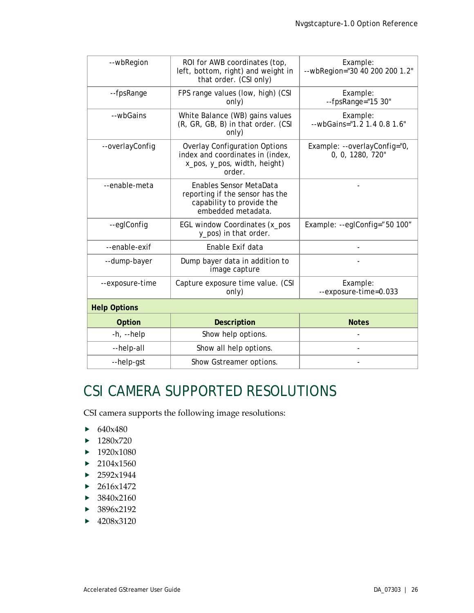| --wbRegion          | ROI for AWB coordinates (top,<br>left, bottom, right) and weight in<br>that order. (CSI only)                      | Example:<br>--wbRegion="30 40 200 200 1.2"       |
|---------------------|--------------------------------------------------------------------------------------------------------------------|--------------------------------------------------|
| --fpsRange          | FPS range values (low, high) (CSI<br>only)                                                                         | Example:<br>--fpsRange="15 30"                   |
| --wbGains           | White Balance (WB) gains values<br>(R, GR, GB, B) in that order. (CSI<br>only)                                     | Example:<br>--wbGains="1.2 1.4 0.8 1.6"          |
| --overlayConfig     | <b>Overlay Configuration Options</b><br>index and coordinates in (index,<br>x_pos, y_pos, width, height)<br>order. | Example: --overlayConfig="0,<br>0, 0, 1280, 720" |
| --enable-meta       | Enables Sensor MetaData<br>reporting if the sensor has the<br>capability to provide the<br>embedded metadata.      |                                                  |
| --eglConfig         | EGL window Coordinates (x_pos<br>y_pos) in that order.                                                             | Example: --eglConfig="50 100"                    |
| --enable-exif       | Enable Exif data                                                                                                   |                                                  |
| --dump-bayer        | Dump bayer data in addition to<br>image capture                                                                    |                                                  |
| --exposure-time     | Capture exposure time value. (CSI<br>only)                                                                         | Example:<br>--exposure-time=0.033                |
| <b>Help Options</b> |                                                                                                                    |                                                  |
| <b>Option</b>       | <b>Description</b>                                                                                                 | <b>Notes</b>                                     |
| $-h$ , $-help$      | Show help options.                                                                                                 |                                                  |
| --help-all          | Show all help options.                                                                                             |                                                  |
| --help-gst          | Show Gstreamer options.                                                                                            |                                                  |

# <span id="page-29-0"></span>CSI CAMERA SUPPORTED RESOLUTIONS

CSI camera supports the following image resolutions:

- $\triangleright$  640x480
- $\blacktriangleright$  1280x720
- $\blacktriangleright$  1920x1080
- $\blacktriangleright$  2104x1560
- $\blacktriangleright$  2592x1944
- $\blacktriangleright$  2616x1472
- ▶ 3840x2160
- ▶ 3896x2192
- $\blacktriangleright$  4208x3120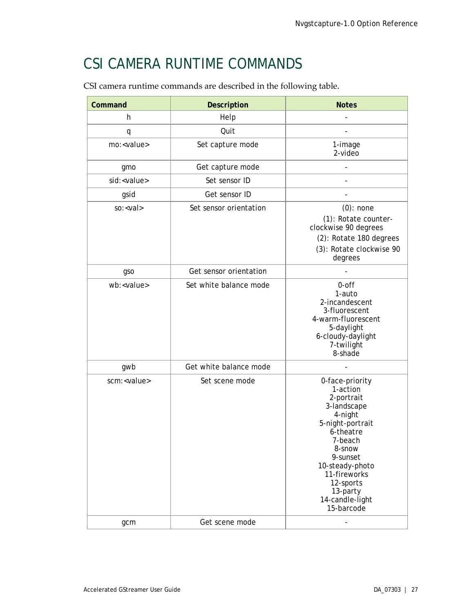# <span id="page-30-0"></span>CSI CAMERA RUNTIME COMMANDS

CSI camera runtime commands are described in the following table.

| Command              | <b>Description</b>     | <b>Notes</b>                                                                                                                                                                                                                       |
|----------------------|------------------------|------------------------------------------------------------------------------------------------------------------------------------------------------------------------------------------------------------------------------------|
| h                    | Help                   |                                                                                                                                                                                                                                    |
| q                    | Quit                   |                                                                                                                                                                                                                                    |
| mo: <value></value>  | Set capture mode       | 1-image<br>$2\n$                                                                                                                                                                                                                   |
| gmo                  | Get capture mode       |                                                                                                                                                                                                                                    |
| sid: <value></value> | Set sensor ID          |                                                                                                                                                                                                                                    |
| gsid                 | Get sensor ID          |                                                                                                                                                                                                                                    |
| $so: <$ val>         | Set sensor orientation | $(0)$ : none<br>(1): Rotate counter-<br>clockwise 90 degrees<br>(2): Rotate 180 degrees<br>(3): Rotate clockwise 90<br>degrees                                                                                                     |
| gso                  | Get sensor orientation |                                                                                                                                                                                                                                    |
| wb: <value></value>  | Set white balance mode | 0-off<br>1-auto<br>2-incandescent<br>3-fluorescent<br>4-warm-fluorescent<br>5-daylight<br>6-cloudy-daylight<br>7-twilight<br>8-shade                                                                                               |
| gwb                  | Get white balance mode |                                                                                                                                                                                                                                    |
| scm: <value></value> | Set scene mode         | 0-face-priority<br>1-action<br>2-portrait<br>3-landscape<br>4-night<br>5-night-portrait<br>6-theatre<br>7-beach<br>8-snow<br>9-sunset<br>10-steady-photo<br>11-fireworks<br>12-sports<br>13-party<br>14-candle-light<br>15-barcode |
| gcm                  | Get scene mode         | ۰                                                                                                                                                                                                                                  |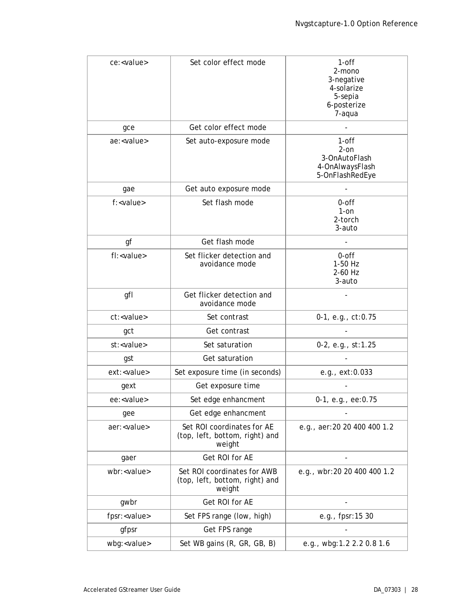| ce: <value></value>   | Set color effect mode                                                   | $1$ -off<br>2-mono<br>3-negative<br>4-solarize<br>5-sepia<br>6-posterize<br>7-aqua |
|-----------------------|-------------------------------------------------------------------------|------------------------------------------------------------------------------------|
| gce                   | Get color effect mode                                                   |                                                                                    |
| ae: <value></value>   | Set auto-exposure mode                                                  | $1$ -off<br>$2-on$<br>3-OnAutoFlash<br>4-OnAlwaysFlash<br>5-OnFlashRedEye          |
| gae                   | Get auto exposure mode                                                  |                                                                                    |
| f: <value></value>    | Set flash mode                                                          | 0-off<br>$1$ -on<br>2-torch<br>3-auto                                              |
| gf                    | Get flash mode                                                          |                                                                                    |
| fl: <value></value>   | Set flicker detection and<br>avoidance mode                             | $0$ -off<br>1-50 Hz<br>2-60 Hz<br>3-auto                                           |
| gfl                   | Get flicker detection and<br>avoidance mode                             |                                                                                    |
| ct: <value></value>   | Set contrast                                                            | 0-1, e.g., ct:0.75                                                                 |
| gct                   | Get contrast                                                            |                                                                                    |
| st: <value></value>   | Set saturation                                                          | 0-2, e.g., st:1.25                                                                 |
| gst                   | Get saturation                                                          |                                                                                    |
| ext: <value></value>  | Set exposure time (in seconds)                                          | e.g., ext:0.033                                                                    |
| gext                  | Get exposure time                                                       |                                                                                    |
| ee: <value></value>   | Set edge enhancment                                                     | 0-1, e.g., ee:0.75                                                                 |
| gee                   | Get edge enhancment                                                     |                                                                                    |
| aer: <value></value>  | Set ROI coordinates for AE<br>(top, left, bottom, right) and<br>weight  | e.g., aer:20 20 400 400 1.2                                                        |
| gaer                  | Get ROI for AE                                                          |                                                                                    |
| wbr: <value></value>  | Set ROI coordinates for AWB<br>(top, left, bottom, right) and<br>weight | e.g., wbr:20 20 400 400 1.2                                                        |
| gwbr                  | Get ROI for AE                                                          |                                                                                    |
| fpsr: <value></value> | Set FPS range (low, high)                                               | e.g., fpsr:15 30                                                                   |
| gfpsr                 | Get FPS range                                                           |                                                                                    |
| wbg: <value></value>  | Set WB gains (R, GR, GB, B)                                             | e.g., wbg:1.2 2.2 0.8 1.6                                                          |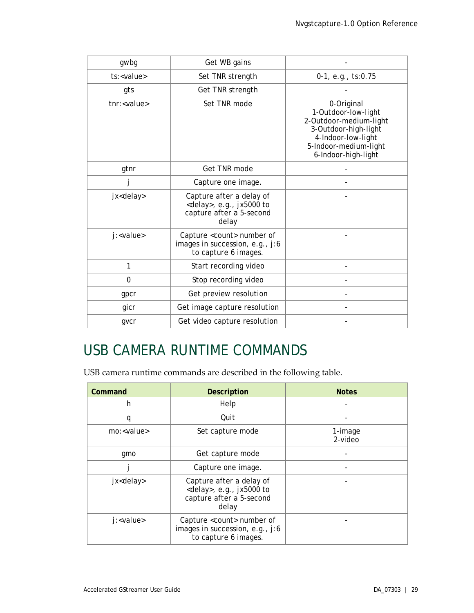| gwbg                 | Get WB gains                                                                                        |                                                                                                                                                           |
|----------------------|-----------------------------------------------------------------------------------------------------|-----------------------------------------------------------------------------------------------------------------------------------------------------------|
| ts: <value></value>  | Set TNR strength                                                                                    | 0-1, e.g., ts:0.75                                                                                                                                        |
| gts                  | Get TNR strength                                                                                    |                                                                                                                                                           |
| tnr: <value></value> | Set TNR mode                                                                                        | 0-Original<br>1-Outdoor-low-light<br>2-Outdoor-medium-light<br>3-Outdoor-high-light<br>4-Indoor-low-light<br>5-Indoor-medium-light<br>6-Indoor-high-light |
| gtnr                 | Get TNR mode                                                                                        |                                                                                                                                                           |
|                      | Capture one image.                                                                                  |                                                                                                                                                           |
| jx <delay></delay>   | Capture after a delay of<br><delay>, e.g., jx5000 to<br/>capture after a 5-second<br/>delay</delay> |                                                                                                                                                           |
| j: <value></value>   | Capture <count> number of<br/>images in succession, e.g., j:6<br/>to capture 6 images.</count>      |                                                                                                                                                           |
| 1                    | Start recording video                                                                               |                                                                                                                                                           |
| $\Omega$             | Stop recording video                                                                                |                                                                                                                                                           |
| gpcr                 | Get preview resolution                                                                              |                                                                                                                                                           |
| gicr                 | Get image capture resolution                                                                        |                                                                                                                                                           |
| gvcr                 | Get video capture resolution                                                                        |                                                                                                                                                           |

# <span id="page-32-0"></span>USB CAMERA RUNTIME COMMANDS

USB camera runtime commands are described in the following table.

| Command             | <b>Description</b>                                                                                  | <b>Notes</b>       |  |
|---------------------|-----------------------------------------------------------------------------------------------------|--------------------|--|
| h                   | Help                                                                                                |                    |  |
| q                   | Quit                                                                                                |                    |  |
| mo: <value></value> | Set capture mode                                                                                    | 1-image<br>2-video |  |
| qmo                 | Get capture mode                                                                                    |                    |  |
|                     | Capture one image.                                                                                  |                    |  |
| jx <delay></delay>  | Capture after a delay of<br><delay>, e.g., jx5000 to<br/>capture after a 5-second<br/>delay</delay> |                    |  |
| j: <value></value>  | Capture <count> number of<br/>images in succession, e.g., j:6<br/>to capture 6 images.</count>      |                    |  |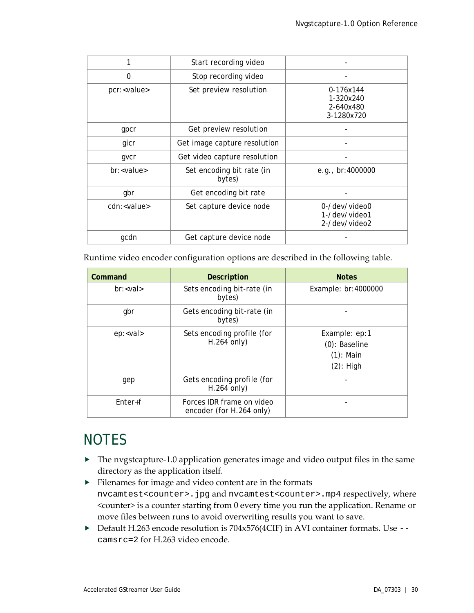|                      | Start recording video               |                                                   |  |
|----------------------|-------------------------------------|---------------------------------------------------|--|
| 0                    | Stop recording video                |                                                   |  |
| pcr: <value></value> | Set preview resolution              | 0-176x144<br>1-320x240<br>2-640x480<br>3-1280x720 |  |
| gpcr                 | Get preview resolution              |                                                   |  |
| gicr                 | Get image capture resolution        |                                                   |  |
| qvcr                 | Get video capture resolution        |                                                   |  |
| br: <value></value>  | Set encoding bit rate (in<br>bytes) | e.g., $br:4000000$                                |  |
| gbr                  | Get encoding bit rate               |                                                   |  |
| cdn: <value></value> | Set capture device node             | 0-/dev/video0<br>1-/dev/video1<br>2-/dev/video2   |  |
| gcdn                 | Get capture device node             |                                                   |  |

Runtime video encoder configuration options are described in the following table.

| Command         | <b>Description</b>                                    | <b>Notes</b>                                                      |  |
|-----------------|-------------------------------------------------------|-------------------------------------------------------------------|--|
| $br: < val$     | Sets encoding bit-rate (in<br>bytes)                  | Example: br:4000000                                               |  |
| gbr             | Gets encoding bit-rate (in<br>bytes)                  |                                                                   |  |
| ep: <val></val> | Sets encoding profile (for<br>$H.264$ only)           | Example: ep:1<br>$(0)$ : Baseline<br>$(1)$ : Main<br>$(2)$ : High |  |
| gep             | Gets encoding profile (for<br>$H.264$ only)           |                                                                   |  |
| $Enter + f$     | Forces IDR frame on video<br>encoder (for H.264 only) |                                                                   |  |

## <span id="page-33-0"></span>**NOTES**

- $\blacktriangleright$  The nvgstcapture-1.0 application generates image and video output files in the same directory as the application itself.
- $\blacktriangleright$  Filenames for image and video content are in the formats nvcamtest<counter>.jpg and nvcamtest<counter>.mp4 respectively, where <counter> is a counter starting from 0 every time you run the application. Rename or move files between runs to avoid overwriting results you want to save.
- ▶ Default H.263 encode resolution is 704x576(4CIF) in AVI container formats. Use -camsrc=2 for H.263 video encode.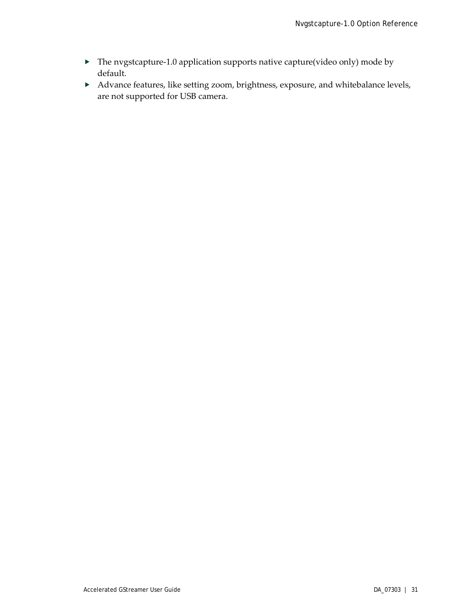- The nvgstcapture-1.0 application supports native capture(video only) mode by default.
- Advance features, like setting zoom, brightness, exposure, and whitebalance levels, are not supported for USB camera.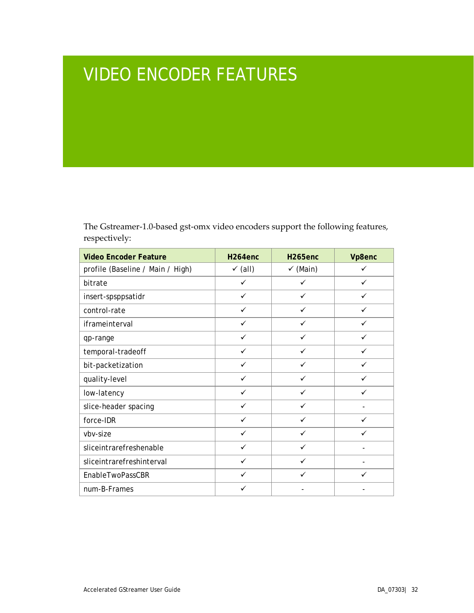# <span id="page-35-0"></span>VIDEO ENCODER FEATURES

The Gstreamer-1.0-based gst-omx video encoders support the following features, respectively:

| <b>Video Encoder Feature</b>     | H <sub>264</sub> enc | H <sub>265enc</sub> | Vp8enc       |
|----------------------------------|----------------------|---------------------|--------------|
| profile (Baseline / Main / High) | $\checkmark$ (all)   | $\checkmark$ (Main) | ✓            |
| bitrate                          | ✓                    | ✓                   | $\checkmark$ |
| insert-spsppsatidr               | ✓                    | ✓                   | $\checkmark$ |
| control-rate                     | ✓                    | ✓                   | ✓            |
| iframeinterval                   | ✓                    | ✓                   | $\checkmark$ |
| qp-range                         | ✓                    | ✓                   | ✓            |
| temporal-tradeoff                | ✓                    | ✓                   | $\checkmark$ |
| bit-packetization                | ✓                    | ✓                   | ✓            |
| quality-level                    | ✓                    | ✓                   | ✓            |
| low-latency                      | ✓                    | ✓                   | ✓            |
| slice-header spacing             | ✓                    | ✓                   |              |
| force-IDR                        | ✓                    | ✓                   | $\checkmark$ |
| vbv-size                         | ✓                    | $\checkmark$        | $\checkmark$ |
| sliceintrarefreshenable          | $\checkmark$         | $\checkmark$        |              |
| sliceintrarefreshinterval        | ✓                    | ✓                   |              |
| EnableTwoPassCBR                 | ✓                    | ✓                   | ✓            |
| num-B-Frames                     | ✓                    |                     |              |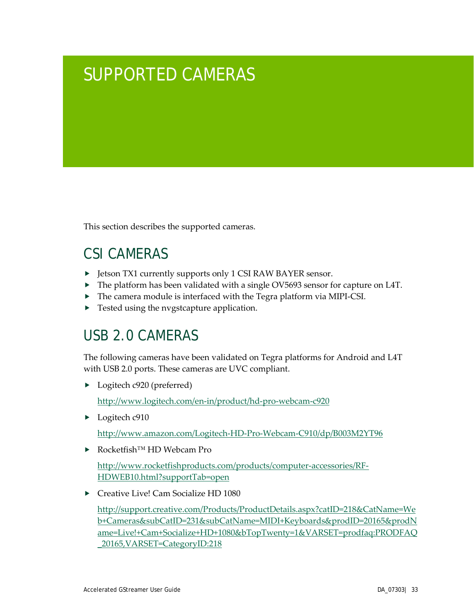# <span id="page-36-0"></span>SUPPORTED CAMERAS

This section describes the supported cameras.

# <span id="page-36-1"></span>CSI CAMERAS

- ▶ Jetson TX1 currently supports only 1 CSI RAW BAYER sensor.
- ▶ The platform has been validated with a single OV5693 sensor for capture on L4T.
- The camera module is interfaced with the Tegra platform via MIPI-CSI.
- ▶ Tested using the nvgstcapture application.

## <span id="page-36-2"></span>USB 2.0 CAMERAS

The following cameras have been validated on Tegra platforms for Android and L4T with USB 2.0 ports. These cameras are UVC compliant.

Logitech c920 (preferred)

<http://www.logitech.com/en-in/product/hd-pro-webcam-c920>

▶ Logitech c910

<http://www.amazon.com/Logitech-HD-Pro-Webcam-C910/dp/B003M2YT96>

Rocketfish™ HD Webcam Pro

[http://www.rocketfishproducts.com/products/computer-accessories/RF-](http://www.rocketfishproducts.com/products/computer-accessories/RF-HDWEB10.html?supportTab=open)[HDWEB10.html?supportTab=open](http://www.rocketfishproducts.com/products/computer-accessories/RF-HDWEB10.html?supportTab=open)

▶ Creative Live! Cam Socialize HD 1080

[http://support.creative.com/Products/ProductDetails.aspx?catID=218&CatName=We](http://support.creative.com/Products/ProductDetails.aspx?catID=218&CatName=Web+Cameras&subCatID=231&subCatName=MIDI+Keyboards&prodID=20165&prodName=Live!+Cam+Socialize+HD+1080&bTopTwenty=1&VARSET=prodfaq:PRODFAQ_20165,VARSET=CategoryID:218) [b+Cameras&subCatID=231&subCatName=MIDI+Keyboards&prodID=20165&prodN](http://support.creative.com/Products/ProductDetails.aspx?catID=218&CatName=Web+Cameras&subCatID=231&subCatName=MIDI+Keyboards&prodID=20165&prodName=Live!+Cam+Socialize+HD+1080&bTopTwenty=1&VARSET=prodfaq:PRODFAQ_20165,VARSET=CategoryID:218) [ame=Live!+Cam+Socialize+HD+1080&bTopTwenty=1&VARSET=prodfaq:PRODFAQ](http://support.creative.com/Products/ProductDetails.aspx?catID=218&CatName=Web+Cameras&subCatID=231&subCatName=MIDI+Keyboards&prodID=20165&prodName=Live!+Cam+Socialize+HD+1080&bTopTwenty=1&VARSET=prodfaq:PRODFAQ_20165,VARSET=CategoryID:218) [\\_20165,VARSET=CategoryID:218](http://support.creative.com/Products/ProductDetails.aspx?catID=218&CatName=Web+Cameras&subCatID=231&subCatName=MIDI+Keyboards&prodID=20165&prodName=Live!+Cam+Socialize+HD+1080&bTopTwenty=1&VARSET=prodfaq:PRODFAQ_20165,VARSET=CategoryID:218)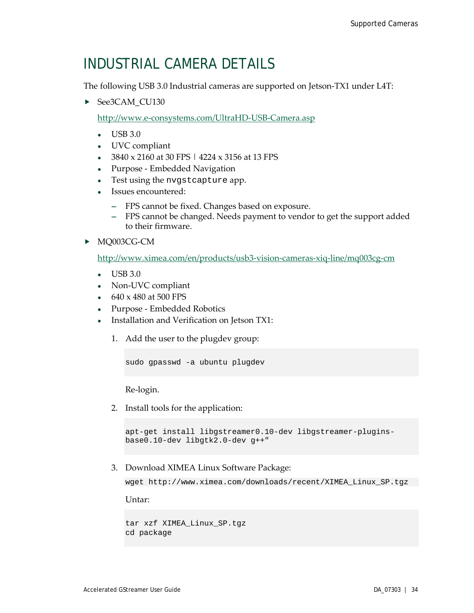## <span id="page-37-0"></span>INDUSTRIAL CAMERA DETAILS

The following USB 3.0 Industrial cameras are supported on Jetson-TX1 under L4T:

▶ See3CAM\_CU130

<http://www.e-consystems.com/UltraHD-USB-Camera.asp>

- USB 3.0
- UVC compliant
- 3840 x 2160 at 30 FPS | 4224 x 3156 at 13 FPS
- Purpose Embedded Navigation
- Test using the nvgstcapture app.
- Issues encountered:
	- **―** FPS cannot be fixed. Changes based on exposure.
	- **―** FPS cannot be changed. Needs payment to vendor to get the support added to their firmware.
- MQ003CG-CM

<http://www.ximea.com/en/products/usb3-vision-cameras-xiq-line/mq003cg-cm>

- USB 3.0
- Non-UVC compliant
- 640 x 480 at 500 FPS
- Purpose Embedded Robotics
- Installation and Verification on Jetson TX1:
	- 1. Add the user to the plugdev group:

```
sudo gpasswd -a ubuntu plugdev
```
Re-login.

2. Install tools for the application:

```
apt-get install libgstreamer0.10-dev libgstreamer-plugins-
base0.10-dev libgtk2.0-dev g++"
```
3. Download XIMEA Linux Software Package:

wget http://www.ximea.com/downloads/recent/XIMEA\_Linux\_SP.tgz

Untar:

```
tar xzf XIMEA_Linux_SP.tgz
cd package
```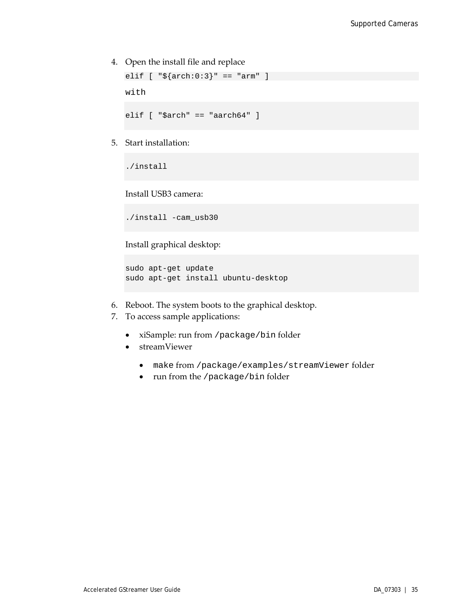4. Open the install file and replace

```
elif [ "${arch:0:3}" == "arm" ]
```
with

elif [ "\$arch" == "aarch64" ]

5. Start installation:

./install

Install USB3 camera:

./install -cam\_usb30

Install graphical desktop:

```
sudo apt-get update
sudo apt-get install ubuntu-desktop
```
- 6. Reboot. The system boots to the graphical desktop.
- 7. To access sample applications:
	- xiSample: run from /package/bin folder
	- streamViewer
		- make from /package/examples/streamViewer folder
		- run from the /package/bin folder